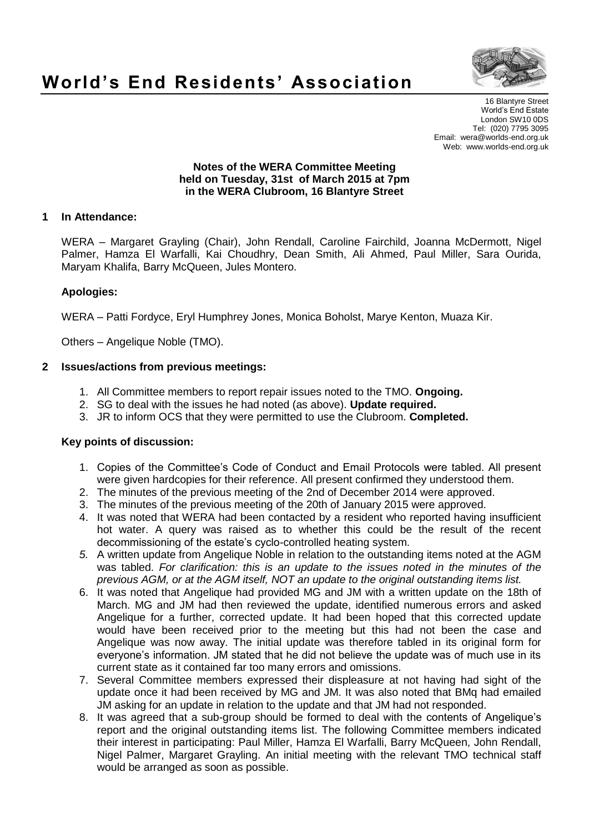

# **World's End Residents' Association**

16 Blantyre Street World's End Estate London SW10 0DS Tel: (020) 7795 3095 Email: wera@worlds-end.org.uk Web: www.worlds-end.org.uk

#### **Notes of the WERA Committee Meeting held on Tuesday, 31st of March 2015 at 7pm in the WERA Clubroom, 16 Blantyre Street**

## **1 In Attendance:**

WERA – Margaret Grayling (Chair), John Rendall, Caroline Fairchild, Joanna McDermott, Nigel Palmer, Hamza El Warfalli, Kai Choudhry, Dean Smith, Ali Ahmed, Paul Miller, Sara Ourida, Maryam Khalifa, Barry McQueen, Jules Montero.

## **Apologies:**

WERA – Patti Fordyce, Eryl Humphrey Jones, Monica Boholst, Marye Kenton, Muaza Kir.

Others – Angelique Noble (TMO).

## **2 Issues/actions from previous meetings:**

- 1. All Committee members to report repair issues noted to the TMO. **Ongoing.**
- 2. SG to deal with the issues he had noted (as above). **Update required.**
- 3. JR to inform OCS that they were permitted to use the Clubroom. **Completed.**

#### **Key points of discussion:**

- 1. Copies of the Committee's Code of Conduct and Email Protocols were tabled. All present were given hardcopies for their reference. All present confirmed they understood them.
- 2. The minutes of the previous meeting of the 2nd of December 2014 were approved.
- 3. The minutes of the previous meeting of the 20th of January 2015 were approved.
- 4. It was noted that WERA had been contacted by a resident who reported having insufficient hot water. A query was raised as to whether this could be the result of the recent decommissioning of the estate's cyclo-controlled heating system.
- *5.* A written update from Angelique Noble in relation to the outstanding items noted at the AGM was tabled. *For clarification: this is an update to the issues noted in the minutes of the previous AGM, or at the AGM itself, NOT an update to the original outstanding items list.*
- 6. It was noted that Angelique had provided MG and JM with a written update on the 18th of March. MG and JM had then reviewed the update, identified numerous errors and asked Angelique for a further, corrected update. It had been hoped that this corrected update would have been received prior to the meeting but this had not been the case and Angelique was now away. The initial update was therefore tabled in its original form for everyone's information. JM stated that he did not believe the update was of much use in its current state as it contained far too many errors and omissions.
- 7. Several Committee members expressed their displeasure at not having had sight of the update once it had been received by MG and JM. It was also noted that BMq had emailed JM asking for an update in relation to the update and that JM had not responded.
- 8. It was agreed that a sub-group should be formed to deal with the contents of Angelique's report and the original outstanding items list. The following Committee members indicated their interest in participating: Paul Miller, Hamza El Warfalli, Barry McQueen, John Rendall, Nigel Palmer, Margaret Grayling. An initial meeting with the relevant TMO technical staff would be arranged as soon as possible.